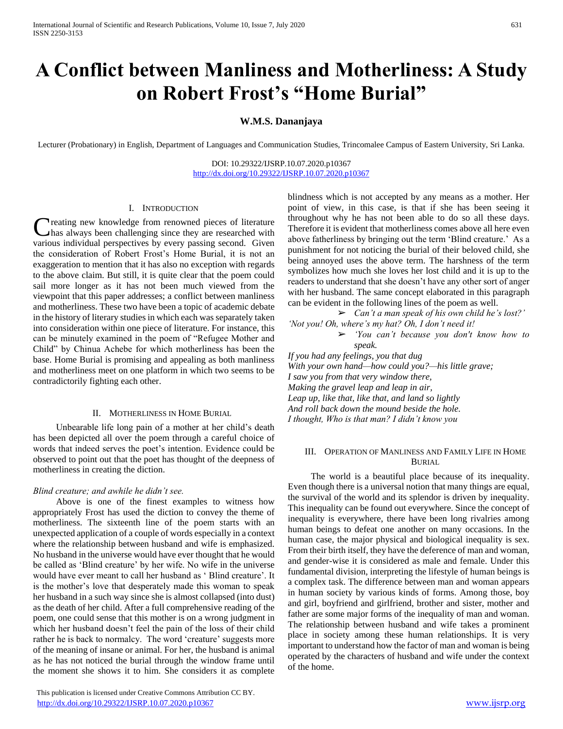# **A Conflict between Manliness and Motherliness: A Study on Robert Frost's "Home Burial"**

## **W.M.S. Dananjaya**

Lecturer (Probationary) in English, Department of Languages and Communication Studies, Trincomalee Campus of Eastern University, Sri Lanka.

DOI: 10.29322/IJSRP.10.07.2020.p10367 <http://dx.doi.org/10.29322/IJSRP.10.07.2020.p10367>

### I. INTRODUCTION

**Treating new knowledge from renowned pieces of literature** has always been challenging since they are researched with **C** reating new knowledge from renowned pieces of literature has always been challenging since they are researched with various individual perspectives by every passing second. Given the consideration of Robert Frost's Home Burial, it is not an exaggeration to mention that it has also no exception with regards to the above claim. But still, it is quite clear that the poem could sail more longer as it has not been much viewed from the viewpoint that this paper addresses; a conflict between manliness and motherliness. These two have been a topic of academic debate in the history of literary studies in which each was separately taken into consideration within one piece of literature. For instance, this can be minutely examined in the poem of "Refugee Mother and Child" by Chinua Achebe for which motherliness has been the base. Home Burial is promising and appealing as both manliness and motherliness meet on one platform in which two seems to be contradictorily fighting each other.

#### II. MOTHERLINESS IN HOME BURIAL

 Unbearable life long pain of a mother at her child's death has been depicted all over the poem through a careful choice of words that indeed serves the poet's intention. Evidence could be observed to point out that the poet has thought of the deepness of motherliness in creating the diction.

#### *Blind creature; and awhile he didn't see.*

 Above is one of the finest examples to witness how appropriately Frost has used the diction to convey the theme of motherliness. The sixteenth line of the poem starts with an unexpected application of a couple of words especially in a context where the relationship between husband and wife is emphasized. No husband in the universe would have ever thought that he would be called as 'Blind creature' by her wife. No wife in the universe would have ever meant to call her husband as ' Blind creature'. It is the mother's love that desperately made this woman to speak her husband in a such way since she is almost collapsed (into dust) as the death of her child. After a full comprehensive reading of the poem, one could sense that this mother is on a wrong judgment in which her husband doesn't feel the pain of the loss of their child rather he is back to normalcy. The word 'creature' suggests more of the meaning of insane or animal. For her, the husband is animal as he has not noticed the burial through the window frame until the moment she shows it to him. She considers it as complete

 This publication is licensed under Creative Commons Attribution CC BY. <http://dx.doi.org/10.29322/IJSRP.10.07.2020.p10367> [www.ijsrp.org](http://ijsrp.org/)

blindness which is not accepted by any means as a mother. Her point of view, in this case, is that if she has been seeing it throughout why he has not been able to do so all these days. Therefore it is evident that motherliness comes above all here even above fatherliness by bringing out the term 'Blind creature.' As a punishment for not noticing the burial of their beloved child, she being annoyed uses the above term. The harshness of the term symbolizes how much she loves her lost child and it is up to the readers to understand that she doesn't have any other sort of anger with her husband. The same concept elaborated in this paragraph can be evident in the following lines of the poem as well.

➢ *Can't a man speak of his own child he's lost?' 'Not you! Oh, where's my hat? Oh, I don't need it!* ➢ *'You can't because you don't know how to* 

*speak. If you had any feelings, you that dug With your own hand—how could you?—his little grave; I saw you from that very window there, Making the gravel leap and leap in air, Leap up, like that, like that, and land so lightly And roll back down the mound beside the hole. I thought, Who is that man? I didn't know you*

### III. OPERATION OF MANLINESS AND FAMILY LIFE IN HOME BURIAL

 The world is a beautiful place because of its inequality. Even though there is a universal notion that many things are equal, the survival of the world and its splendor is driven by inequality. This inequality can be found out everywhere. Since the concept of inequality is everywhere, there have been long rivalries among human beings to defeat one another on many occasions. In the human case, the major physical and biological inequality is sex. From their birth itself, they have the deference of man and woman, and gender-wise it is considered as male and female. Under this fundamental division, interpreting the lifestyle of human beings is a complex task. The difference between man and woman appears in human society by various kinds of forms. Among those, boy and girl, boyfriend and girlfriend, brother and sister, mother and father are some major forms of the inequality of man and woman. The relationship between husband and wife takes a prominent place in society among these human relationships. It is very important to understand how the factor of man and woman is being operated by the characters of husband and wife under the context of the home.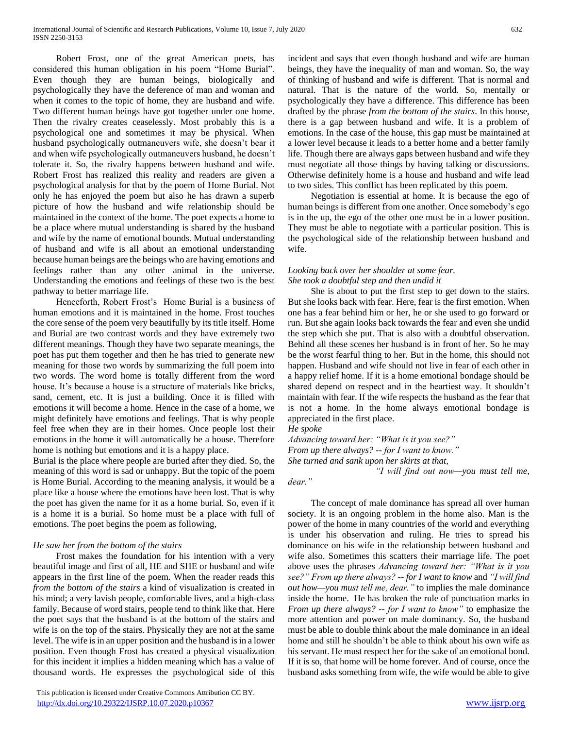Robert Frost, one of the great American poets, has considered this human obligation in his poem "Home Burial". Even though they are human beings, biologically and psychologically they have the deference of man and woman and when it comes to the topic of home, they are husband and wife. Two different human beings have got together under one home. Then the rivalry creates ceaselessly. Most probably this is a psychological one and sometimes it may be physical. When husband psychologically outmaneuvers wife, she doesn't bear it and when wife psychologically outmaneuvers husband, he doesn't tolerate it. So, the rivalry happens between husband and wife. Robert Frost has realized this reality and readers are given a psychological analysis for that by the poem of Home Burial. Not only he has enjoyed the poem but also he has drawn a superb picture of how the husband and wife relationship should be maintained in the context of the home. The poet expects a home to be a place where mutual understanding is shared by the husband and wife by the name of emotional bounds. Mutual understanding of husband and wife is all about an emotional understanding because human beings are the beings who are having emotions and feelings rather than any other animal in the universe. Understanding the emotions and feelings of these two is the best pathway to better marriage life.

 Henceforth, Robert Frost's Home Burial is a business of human emotions and it is maintained in the home. Frost touches the core sense of the poem very beautifully by its title itself. Home and Burial are two contrast words and they have extremely two different meanings. Though they have two separate meanings, the poet has put them together and then he has tried to generate new meaning for those two words by summarizing the full poem into two words. The word home is totally different from the word house. It's because a house is a structure of materials like bricks, sand, cement, etc. It is just a building. Once it is filled with emotions it will become a home. Hence in the case of a home, we might definitely have emotions and feelings. That is why people feel free when they are in their homes. Once people lost their emotions in the home it will automatically be a house. Therefore home is nothing but emotions and it is a happy place.

Burial is the place where people are buried after they died. So, the meaning of this word is sad or unhappy. But the topic of the poem is Home Burial. According to the meaning analysis, it would be a place like a house where the emotions have been lost. That is why the poet has given the name for it as a home burial. So, even if it is a home it is a burial. So home must be a place with full of emotions. The poet begins the poem as following,

#### *He saw her from the bottom of the stairs*

 Frost makes the foundation for his intention with a very beautiful image and first of all, HE and SHE or husband and wife appears in the first line of the poem. When the reader reads this *from the bottom of the stairs* a kind of visualization is created in his mind; a very lavish people, comfortable lives, and a high-class family. Because of word stairs, people tend to think like that. Here the poet says that the husband is at the bottom of the stairs and wife is on the top of the stairs. Physically they are not at the same level. The wife is in an upper position and the husband is in a lower position. Even though Frost has created a physical visualization for this incident it implies a hidden meaning which has a value of thousand words. He expresses the psychological side of this incident and says that even though husband and wife are human beings, they have the inequality of man and woman. So, the way of thinking of husband and wife is different. That is normal and natural. That is the nature of the world. So, mentally or psychologically they have a difference. This difference has been drafted by the phrase *from the bottom of the stairs*. In this house, there is a gap between husband and wife. It is a problem of emotions. In the case of the house, this gap must be maintained at a lower level because it leads to a better home and a better family life. Though there are always gaps between husband and wife they must negotiate all those things by having talking or discussions. Otherwise definitely home is a house and husband and wife lead to two sides. This conflict has been replicated by this poem.

 Negotiation is essential at home. It is because the ego of human beings is different from one another. Once somebody's ego is in the up, the ego of the other one must be in a lower position. They must be able to negotiate with a particular position. This is the psychological side of the relationship between husband and wife.

#### *Looking back over her shoulder at some fear. She took a doubtful step and then undid it*

 She is about to put the first step to get down to the stairs. But she looks back with fear. Here, fear is the first emotion. When one has a fear behind him or her, he or she used to go forward or run. But she again looks back towards the fear and even she undid the step which she put. That is also with a doubtful observation. Behind all these scenes her husband is in front of her. So he may be the worst fearful thing to her. But in the home, this should not happen. Husband and wife should not live in fear of each other in a happy relief home. If it is a home emotional bondage should be shared depend on respect and in the heartiest way. It shouldn't maintain with fear. If the wife respects the husband as the fear that is not a home. In the home always emotional bondage is appreciated in the first place.

### *He spoke*

*Advancing toward her: "What is it you see?" From up there always? -- for I want to know." She turned and sank upon her skirts at that,*

 *"I will find out now—you must tell me,* 

*dear."*

 The concept of male dominance has spread all over human society. It is an ongoing problem in the home also. Man is the power of the home in many countries of the world and everything is under his observation and ruling. He tries to spread his dominance on his wife in the relationship between husband and wife also. Sometimes this scatters their marriage life. The poet above uses the phrases *Advancing toward her: "What is it you see?" From up there always? -- for I want to know* and *"I will find out how—you must tell me, dear."* to implies the male dominance inside the home. He has broken the rule of punctuation marks in *From up there always? -- for I want to know"* to emphasize the more attention and power on male dominancy. So, the husband must be able to double think about the male dominance in an ideal home and still he shouldn't be able to think about his own wife as his servant. He must respect her for the sake of an emotional bond. If it is so, that home will be home forever. And of course, once the husband asks something from wife, the wife would be able to give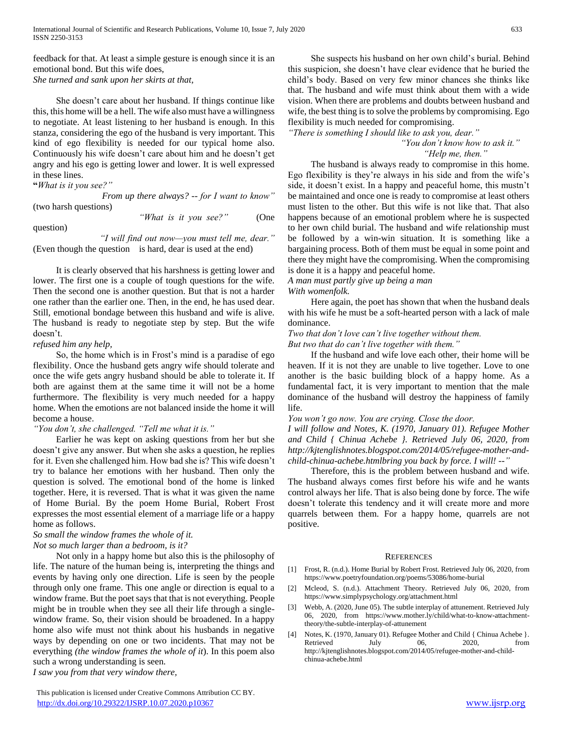feedback for that. At least a simple gesture is enough since it is an emotional bond. But this wife does, *She turned and sank upon her skirts at that,*

 She doesn't care about her husband. If things continue like this, this home will be a hell. The wife also must have a willingness to negotiate. At least listening to her husband is enough. In this stanza, considering the ego of the husband is very important. This kind of ego flexibility is needed for our typical home also. Continuously his wife doesn't care about him and he doesn't get angry and his ego is getting lower and lower. It is well expressed in these lines.

**"***What is it you see?"*

 *From up there always? -- for I want to know"*  (two harsh questions)

question)

 *"What is it you see?"* (One

 *"I will find out now—you must tell me, dear."*  (Even though the question is hard, dear is used at the end)

 It is clearly observed that his harshness is getting lower and lower. The first one is a couple of tough questions for the wife. Then the second one is another question. But that is not a harder one rather than the earlier one. Then, in the end, he has used dear. Still, emotional bondage between this husband and wife is alive. The husband is ready to negotiate step by step. But the wife doesn't.

#### *refused him any help,*

 So, the home which is in Frost's mind is a paradise of ego flexibility. Once the husband gets angry wife should tolerate and once the wife gets angry husband should be able to tolerate it. If both are against them at the same time it will not be a home furthermore. The flexibility is very much needed for a happy home. When the emotions are not balanced inside the home it will become a house.

#### *"You don't, she challenged. "Tell me what it is."*

 Earlier he was kept on asking questions from her but she doesn't give any answer. But when she asks a question, he replies for it. Even she challenged him. How bad she is? This wife doesn't try to balance her emotions with her husband. Then only the question is solved. The emotional bond of the home is linked together. Here, it is reversed. That is what it was given the name of Home Burial. By the poem Home Burial, Robert Frost expresses the most essential element of a marriage life or a happy home as follows.

## *So small the window frames the whole of it.*

*Not so much larger than a bedroom, is it?*

 Not only in a happy home but also this is the philosophy of life. The nature of the human being is, interpreting the things and events by having only one direction. Life is seen by the people through only one frame. This one angle or direction is equal to a window frame. But the poet says that that is not everything. People might be in trouble when they see all their life through a singlewindow frame. So, their vision should be broadened. In a happy home also wife must not think about his husbands in negative ways by depending on one or two incidents. That may not be everything *(the window frames the whole of it*). In this poem also such a wrong understanding is seen.

*I saw you from that very window there,*

 She suspects his husband on her own child's burial. Behind this suspicion, she doesn't have clear evidence that he buried the child's body. Based on very few minor chances she thinks like that. The husband and wife must think about them with a wide vision. When there are problems and doubts between husband and wife, the best thing is to solve the problems by compromising. Ego flexibility is much needed for compromising.

*"There is something I should like to ask you, dear."*

 *"You don't know how to ask it." "Help me, then."*

 The husband is always ready to compromise in this home. Ego flexibility is they're always in his side and from the wife's side, it doesn't exist. In a happy and peaceful home, this mustn't be maintained and once one is ready to compromise at least others must listen to the other. But this wife is not like that. That also happens because of an emotional problem where he is suspected to her own child burial. The husband and wife relationship must be followed by a win-win situation. It is something like a bargaining process. Both of them must be equal in some point and there they might have the compromising. When the compromising is done it is a happy and peaceful home.

*A man must partly give up being a man With womenfolk.*

 Here again, the poet has shown that when the husband deals with his wife he must be a soft-hearted person with a lack of male dominance.

#### *Two that don't love can't live together without them. But two that do can't live together with them."*

 If the husband and wife love each other, their home will be heaven. If it is not they are unable to live together. Love to one another is the basic building block of a happy home. As a fundamental fact, it is very important to mention that the male dominance of the husband will destroy the happiness of family life.

#### *You won't go now. You are crying. Close the door.*

*I will follow and Notes, K. (1970, January 01). Refugee Mother and Child { Chinua Achebe }. Retrieved July 06, 2020, from http://kjtenglishnotes.blogspot.com/2014/05/refugee-mother-andchild-chinua-achebe.htmlbring you back by force. I will! --"*

 Therefore, this is the problem between husband and wife. The husband always comes first before his wife and he wants control always her life. That is also being done by force. The wife doesn't tolerate this tendency and it will create more and more quarrels between them. For a happy home, quarrels are not positive.

#### **REFERENCES**

- [1] Frost, R. (n.d.). Home Burial by Robert Frost. Retrieved July 06, 2020, from https://www.poetryfoundation.org/poems/53086/home-burial
- [2] Mcleod, S. (n.d.). Attachment Theory. Retrieved July 06, 2020, from https://www.simplypsychology.org/attachment.html
- [3] Webb, A. (2020, June 05). The subtle interplay of attunement. Retrieved July 06, 2020, from https://www.mother.ly/child/what-to-know-attachmenttheory/the-subtle-interplay-of-attunement
- [4] Notes, K. (1970, January 01). Refugee Mother and Child { Chinua Achebe }. Retrieved July 06, 2020, from http://kjtenglishnotes.blogspot.com/2014/05/refugee-mother-and-childchinua-achebe.html